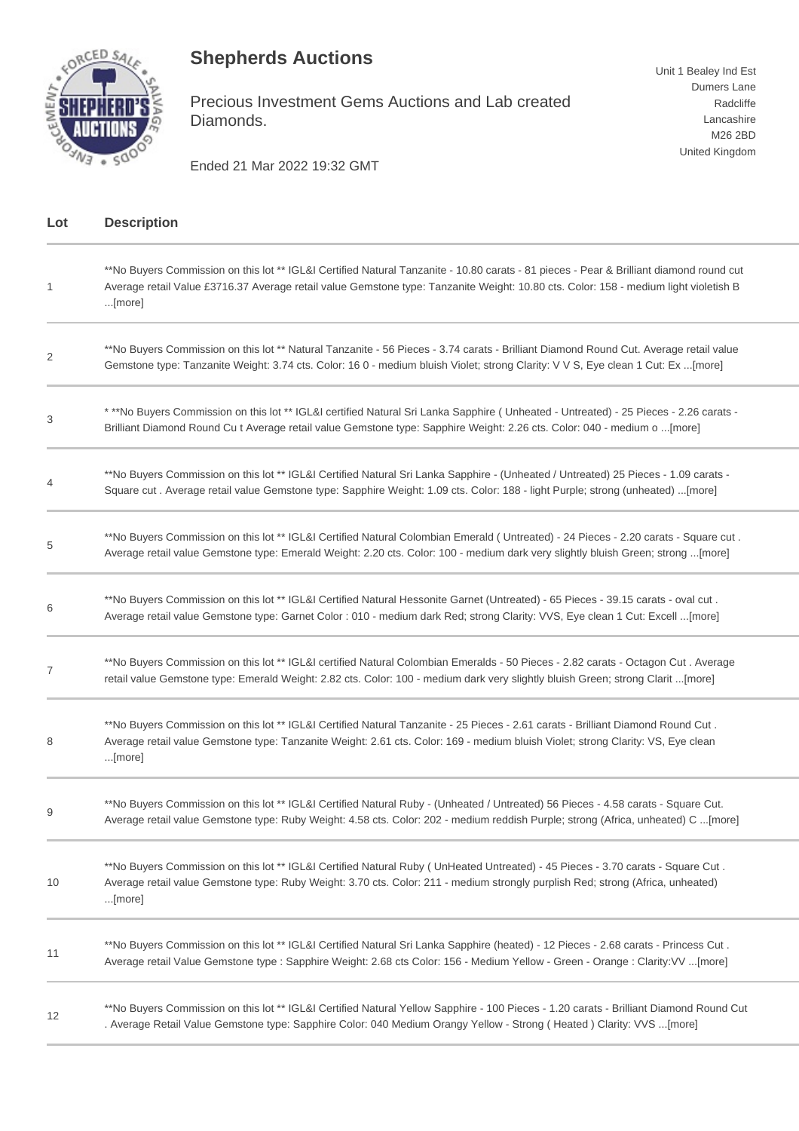## **Shepherds Auctions**



Precious Investment Gems Auctions and Lab created Diamonds.

Ended 21 Mar 2022 19:32 GMT

| Lot | <b>Description</b>                                                                                                                                                                                                                                                                        |
|-----|-------------------------------------------------------------------------------------------------------------------------------------------------------------------------------------------------------------------------------------------------------------------------------------------|
| 1   | **No Buyers Commission on this lot ** IGL&I Certified Natural Tanzanite - 10.80 carats - 81 pieces - Pear & Brilliant diamond round cut<br>Average retail Value £3716.37 Average retail value Gemstone type: Tanzanite Weight: 10.80 cts. Color: 158 - medium light violetish B<br>[more] |
| 2   | **No Buyers Commission on this lot ** Natural Tanzanite - 56 Pieces - 3.74 carats - Brilliant Diamond Round Cut. Average retail value<br>Gemstone type: Tanzanite Weight: 3.74 cts. Color: 16 0 - medium bluish Violet; strong Clarity: V V S, Eye clean 1 Cut: Ex [more]                 |
| 3   | * **No Buyers Commission on this lot ** IGL&I certified Natural Sri Lanka Sapphire (Unheated - Untreated) - 25 Pieces - 2.26 carats -<br>Brilliant Diamond Round Cu t Average retail value Gemstone type: Sapphire Weight: 2.26 cts. Color: 040 - medium o [more]                         |
|     | **No Buyers Commission on this lot ** IGL&I Certified Natural Sri Lanka Sapphire - (Unheated / Untreated) 25 Pieces - 1.09 carats -<br>Square cut. Average retail value Gemstone type: Sapphire Weight: 1.09 cts. Color: 188 - light Purple; strong (unheated) [more]                     |
| 5   | *No Buyers Commission on this lot ** IGL&I Certified Natural Colombian Emerald (Untreated) - 24 Pieces - 2.20 carats - Square cut.<br>Average retail value Gemstone type: Emerald Weight: 2.20 cts. Color: 100 - medium dark very slightly bluish Green; strong [more]                    |
| 6   | **No Buyers Commission on this lot ** IGL&I Certified Natural Hessonite Garnet (Untreated) - 65 Pieces - 39.15 carats - oval cut.<br>Average retail value Gemstone type: Garnet Color : 010 - medium dark Red; strong Clarity: VVS, Eye clean 1 Cut: Excell [more]                        |
| 7   | **No Buyers Commission on this lot ** IGL&I certified Natural Colombian Emeralds - 50 Pieces - 2.82 carats - Octagon Cut. Average<br>retail value Gemstone type: Emerald Weight: 2.82 cts. Color: 100 - medium dark very slightly bluish Green; strong Clarit [more]                      |
| 8   | **No Buyers Commission on this lot ** IGL&I Certified Natural Tanzanite - 25 Pieces - 2.61 carats - Brilliant Diamond Round Cut.<br>Average retail value Gemstone type: Tanzanite Weight: 2.61 cts. Color: 169 - medium bluish Violet; strong Clarity: VS, Eye clean<br>[more]            |
| 9   | **No Buyers Commission on this lot ** IGL&I Certified Natural Ruby - (Unheated / Untreated) 56 Pieces - 4.58 carats - Square Cut.<br>Average retail value Gemstone type: Ruby Weight: 4.58 cts. Color: 202 - medium reddish Purple; strong (Africa, unheated) C [more]                    |
| 10  | **No Buyers Commission on this lot ** IGL&I Certified Natural Ruby (UnHeated Untreated) - 45 Pieces - 3.70 carats - Square Cut.<br>Average retail value Gemstone type: Ruby Weight: 3.70 cts. Color: 211 - medium strongly purplish Red; strong (Africa, unheated)<br>[more]              |
| 11  | **No Buyers Commission on this lot ** IGL&I Certified Natural Sri Lanka Sapphire (heated) - 12 Pieces - 2.68 carats - Princess Cut.<br>Average retail Value Gemstone type : Sapphire Weight: 2.68 cts Color: 156 - Medium Yellow - Green - Orange : Clarity: VV [more]                    |
| 12  | **No Buyers Commission on this lot ** IGL&I Certified Natural Yellow Sapphire - 100 Pieces - 1.20 carats - Brilliant Diamond Round Cut<br>. Average Retail Value Gemstone type: Sapphire Color: 040 Medium Orangy Yellow - Strong (Heated) Clarity: VVS [more]                            |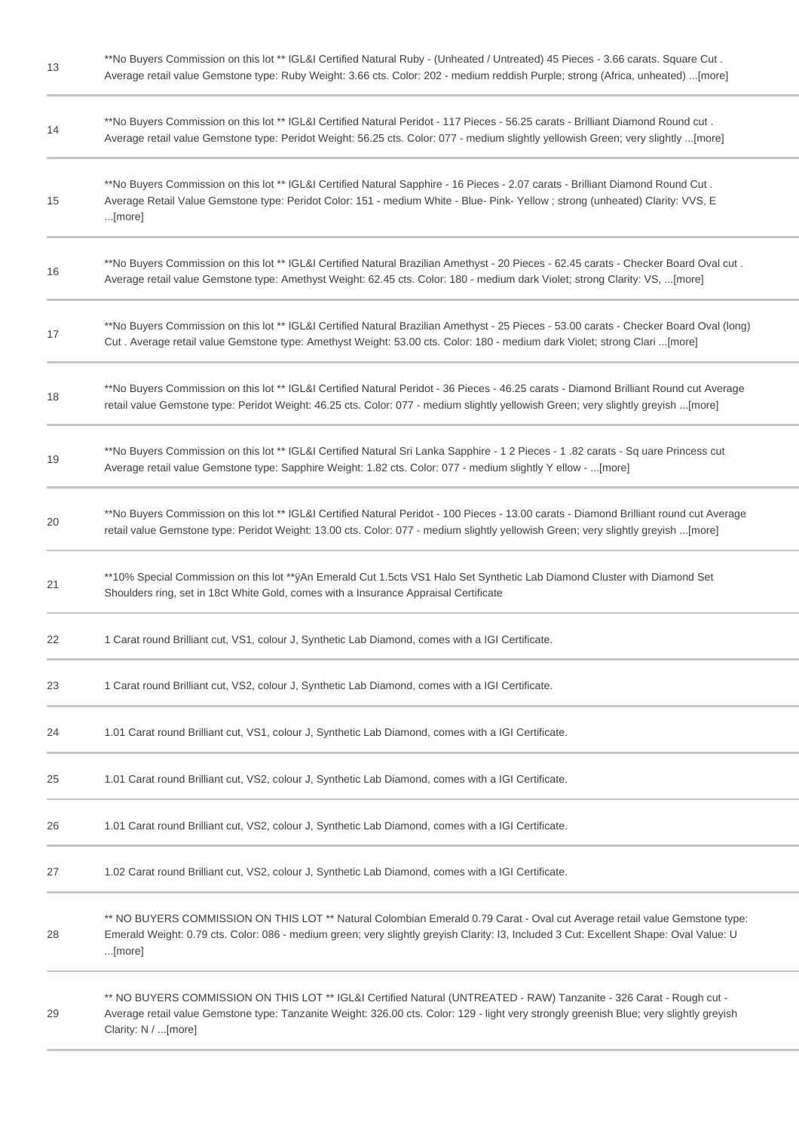| 13 | **No Buyers Commission on this lot ** IGL&I Certified Natural Ruby - (Unheated / Untreated) 45 Pieces - 3.66 carats. Square Cut.<br>Average retail value Gemstone type: Ruby Weight: 3.66 cts. Color: 202 - medium reddish Purple; strong (Africa, unheated) [more]                    |
|----|----------------------------------------------------------------------------------------------------------------------------------------------------------------------------------------------------------------------------------------------------------------------------------------|
| 14 | *No Buyers Commission on this lot ** IGL&I Certified Natural Peridot - 117 Pieces - 56.25 carats - Brilliant Diamond Round cut.<br>Average retail value Gemstone type: Peridot Weight: 56.25 cts. Color: 077 - medium slightly yellowish Green; very slightly [more]                   |
| 15 | **No Buyers Commission on this lot ** IGL&I Certified Natural Sapphire - 16 Pieces - 2.07 carats - Brilliant Diamond Round Cut.<br>Average Retail Value Gemstone type: Peridot Color: 151 - medium White - Blue- Pink- Yellow; strong (unheated) Clarity: VVS, E<br>[more]             |
| 16 | *No Buyers Commission on this lot ** IGL&I Certified Natural Brazilian Amethyst - 20 Pieces - 62.45 carats - Checker Board Oval cut.<br>Average retail value Gemstone type: Amethyst Weight: 62.45 cts. Color: 180 - medium dark Violet; strong Clarity: VS, [more]                    |
| 17 | **No Buyers Commission on this lot ** IGL&I Certified Natural Brazilian Amethyst - 25 Pieces - 53.00 carats - Checker Board Oval (long)<br>Cut. Average retail value Gemstone type: Amethyst Weight: 53.00 cts. Color: 180 - medium dark Violet; strong Clari [more]                   |
| 18 | **No Buyers Commission on this lot ** IGL&I Certified Natural Peridot - 36 Pieces - 46.25 carats - Diamond Brilliant Round cut Average<br>retail value Gemstone type: Peridot Weight: 46.25 cts. Color: 077 - medium slightly yellowish Green; very slightly greyish [more]            |
| 19 | **No Buyers Commission on this lot ** IGL&I Certified Natural Sri Lanka Sapphire - 1 2 Pieces - 1 .82 carats - Sq uare Princess cut<br>Average retail value Gemstone type: Sapphire Weight: 1.82 cts. Color: 077 - medium slightly Y ellow - [more]                                    |
| 20 | **No Buyers Commission on this lot ** IGL&I Certified Natural Peridot - 100 Pieces - 13.00 carats - Diamond Brilliant round cut Average<br>retail value Gemstone type: Peridot Weight: 13.00 cts. Color: 077 - medium slightly yellowish Green; very slightly greyish [more]           |
| 21 | **10% Special Commission on this lot **ÿAn Emerald Cut 1.5cts VS1 Halo Set Synthetic Lab Diamond Cluster with Diamond Set<br>Shoulders ring, set in 18ct White Gold, comes with a Insurance Appraisal Certificate                                                                      |
| 22 | 1 Carat round Brilliant cut, VS1, colour J, Synthetic Lab Diamond, comes with a IGI Certificate.                                                                                                                                                                                       |
| 23 | 1 Carat round Brilliant cut, VS2, colour J, Synthetic Lab Diamond, comes with a IGI Certificate.                                                                                                                                                                                       |
| 24 | 1.01 Carat round Brilliant cut, VS1, colour J, Synthetic Lab Diamond, comes with a IGI Certificate.                                                                                                                                                                                    |
| 25 | 1.01 Carat round Brilliant cut, VS2, colour J, Synthetic Lab Diamond, comes with a IGI Certificate.                                                                                                                                                                                    |
| 26 | 1.01 Carat round Brilliant cut, VS2, colour J, Synthetic Lab Diamond, comes with a IGI Certificate.                                                                                                                                                                                    |
| 27 | 1.02 Carat round Brilliant cut, VS2, colour J, Synthetic Lab Diamond, comes with a IGI Certificate.                                                                                                                                                                                    |
| 28 | ** NO BUYERS COMMISSION ON THIS LOT ** Natural Colombian Emerald 0.79 Carat - Oval cut Average retail value Gemstone type:<br>Emerald Weight: 0.79 cts. Color: 086 - medium green; very slightly greyish Clarity: I3, Included 3 Cut: Excellent Shape: Oval Value: U<br>$$ [more]      |
| 29 | ** NO BUYERS COMMISSION ON THIS LOT ** IGL&I Certified Natural (UNTREATED - RAW) Tanzanite - 326 Carat - Rough cut -<br>Average retail value Gemstone type: Tanzanite Weight: 326.00 cts. Color: 129 - light very strongly greenish Blue; very slightly greyish<br>Clarity: N / [more] |
|    |                                                                                                                                                                                                                                                                                        |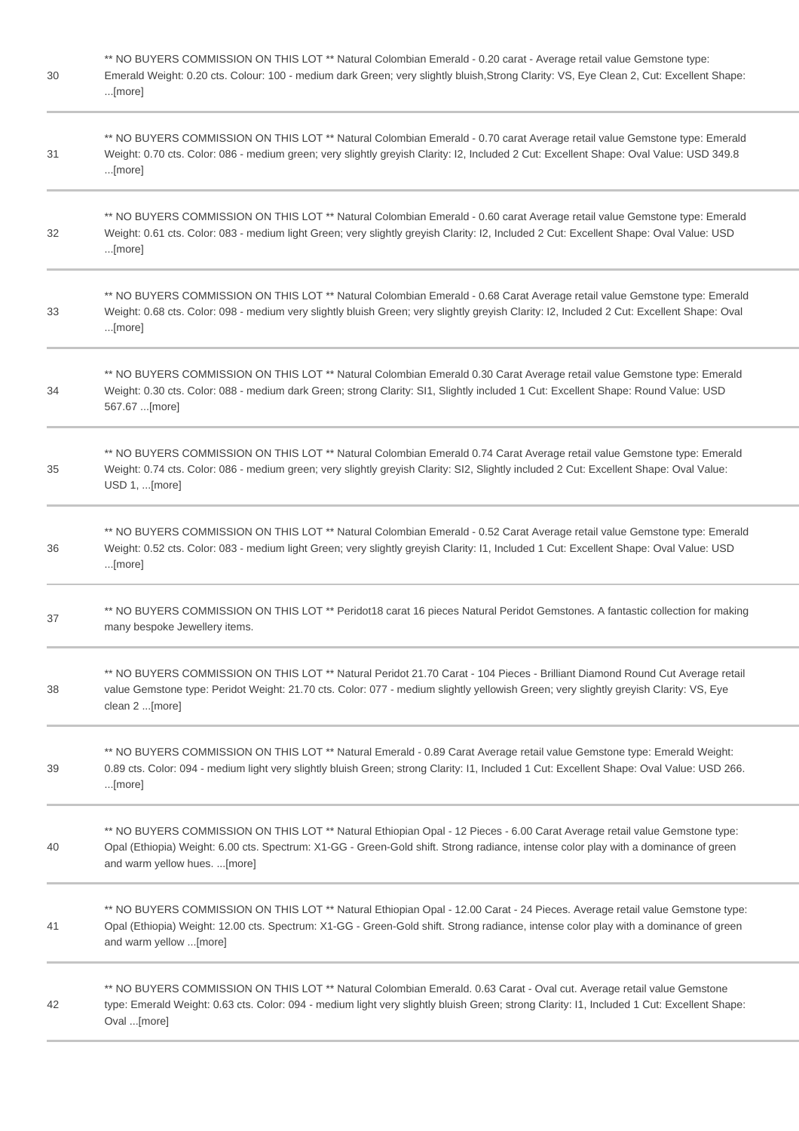| 30 | ** NO BUYERS COMMISSION ON THIS LOT ** Natural Colombian Emerald - 0.20 carat - Average retail value Gemstone type:<br>Emerald Weight: 0.20 cts. Colour: 100 - medium dark Green; very slightly bluish, Strong Clarity: VS, Eye Clean 2, Cut: Excellent Shape:<br>$$ [more]                       |
|----|---------------------------------------------------------------------------------------------------------------------------------------------------------------------------------------------------------------------------------------------------------------------------------------------------|
| 31 | ** NO BUYERS COMMISSION ON THIS LOT ** Natural Colombian Emerald - 0.70 carat Average retail value Gemstone type: Emerald<br>Weight: 0.70 cts. Color: 086 - medium green; very slightly greyish Clarity: I2, Included 2 Cut: Excellent Shape: Oval Value: USD 349.8<br>$$ [more]                  |
| 32 | ** NO BUYERS COMMISSION ON THIS LOT ** Natural Colombian Emerald - 0.60 carat Average retail value Gemstone type: Emerald<br>Weight: 0.61 cts. Color: 083 - medium light Green; very slightly greyish Clarity: I2, Included 2 Cut: Excellent Shape: Oval Value: USD<br>[more]                     |
| 33 | ** NO BUYERS COMMISSION ON THIS LOT ** Natural Colombian Emerald - 0.68 Carat Average retail value Gemstone type: Emerald<br>Weight: 0.68 cts. Color: 098 - medium very slightly bluish Green; very slightly greyish Clarity: I2, Included 2 Cut: Excellent Shape: Oval<br>[more]                 |
| 34 | ** NO BUYERS COMMISSION ON THIS LOT ** Natural Colombian Emerald 0.30 Carat Average retail value Gemstone type: Emerald<br>Weight: 0.30 cts. Color: 088 - medium dark Green; strong Clarity: SI1, Slightly included 1 Cut: Excellent Shape: Round Value: USD<br>567.67 [more]                     |
| 35 | ** NO BUYERS COMMISSION ON THIS LOT ** Natural Colombian Emerald 0.74 Carat Average retail value Gemstone type: Emerald<br>Weight: 0.74 cts. Color: 086 - medium green; very slightly greyish Clarity: SI2, Slightly included 2 Cut: Excellent Shape: Oval Value:<br>USD 1, [more]                |
| 36 | ** NO BUYERS COMMISSION ON THIS LOT ** Natural Colombian Emerald - 0.52 Carat Average retail value Gemstone type: Emerald<br>Weight: 0.52 cts. Color: 083 - medium light Green; very slightly greyish Clarity: I1, Included 1 Cut: Excellent Shape: Oval Value: USD<br>$$ [more]                  |
| 37 | ** NO BUYERS COMMISSION ON THIS LOT ** Peridot18 carat 16 pieces Natural Peridot Gemstones. A fantastic collection for making<br>many bespoke Jewellery items.                                                                                                                                    |
| 38 | ** NO BUYERS COMMISSION ON THIS LOT ** Natural Peridot 21.70 Carat - 104 Pieces - Brilliant Diamond Round Cut Average retail<br>value Gemstone type: Peridot Weight: 21.70 cts. Color: 077 - medium slightly yellowish Green; very slightly greyish Clarity: VS, Eye<br>clean 2 [more]            |
| 39 | ** NO BUYERS COMMISSION ON THIS LOT ** Natural Emerald - 0.89 Carat Average retail value Gemstone type: Emerald Weight:<br>0.89 cts. Color: 094 - medium light very slightly bluish Green; strong Clarity: 11, Included 1 Cut: Excellent Shape: Oval Value: USD 266.<br>[more]                    |
| 40 | ** NO BUYERS COMMISSION ON THIS LOT ** Natural Ethiopian Opal - 12 Pieces - 6.00 Carat Average retail value Gemstone type:<br>Opal (Ethiopia) Weight: 6.00 cts. Spectrum: X1-GG - Green-Gold shift. Strong radiance, intense color play with a dominance of green<br>and warm yellow hues. [more] |
| 41 | ** NO BUYERS COMMISSION ON THIS LOT ** Natural Ethiopian Opal - 12.00 Carat - 24 Pieces. Average retail value Gemstone type:<br>Opal (Ethiopia) Weight: 12.00 cts. Spectrum: X1-GG - Green-Gold shift. Strong radiance, intense color play with a dominance of green<br>and warm yellow [more]    |
| 42 | ** NO BUYERS COMMISSION ON THIS LOT ** Natural Colombian Emerald. 0.63 Carat - Oval cut. Average retail value Gemstone<br>type: Emerald Weight: 0.63 cts. Color: 094 - medium light very slightly bluish Green; strong Clarity: I1, Included 1 Cut: Excellent Shape:<br>Oval [more]               |